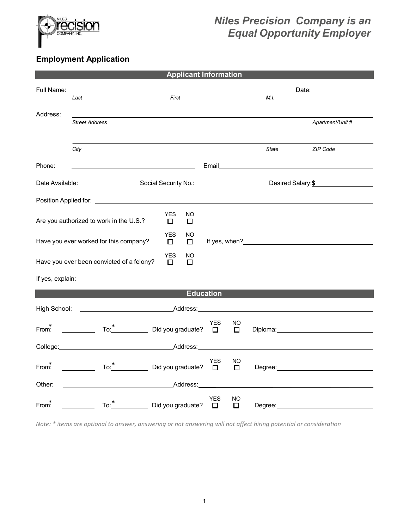

## *Niles Precision Company is an Equal Opportunity Employer*

## **Employment Application**

| <b>Applicant Information</b>                                            |                                                                       |                                                                                                                                                                                                                                                                                                                                                                                    |            |              |              |                                                                                                                                                                                                                                |
|-------------------------------------------------------------------------|-----------------------------------------------------------------------|------------------------------------------------------------------------------------------------------------------------------------------------------------------------------------------------------------------------------------------------------------------------------------------------------------------------------------------------------------------------------------|------------|--------------|--------------|--------------------------------------------------------------------------------------------------------------------------------------------------------------------------------------------------------------------------------|
| Full Name:                                                              |                                                                       |                                                                                                                                                                                                                                                                                                                                                                                    |            |              |              | Date: the contract of the contract of the contract of the contract of the contract of the contract of the contract of the contract of the contract of the contract of the contract of the contract of the contract of the cont |
|                                                                         | Last                                                                  | First                                                                                                                                                                                                                                                                                                                                                                              |            |              | M.I.         |                                                                                                                                                                                                                                |
| Address:                                                                |                                                                       |                                                                                                                                                                                                                                                                                                                                                                                    |            |              |              |                                                                                                                                                                                                                                |
|                                                                         | <b>Street Address</b>                                                 |                                                                                                                                                                                                                                                                                                                                                                                    |            |              |              | Apartment/Unit #                                                                                                                                                                                                               |
|                                                                         |                                                                       |                                                                                                                                                                                                                                                                                                                                                                                    |            |              |              |                                                                                                                                                                                                                                |
|                                                                         | City                                                                  |                                                                                                                                                                                                                                                                                                                                                                                    |            |              | <b>State</b> | ZIP Code                                                                                                                                                                                                                       |
|                                                                         |                                                                       |                                                                                                                                                                                                                                                                                                                                                                                    |            |              |              |                                                                                                                                                                                                                                |
| Phone:                                                                  |                                                                       |                                                                                                                                                                                                                                                                                                                                                                                    |            |              |              | Email <b>Executive Service Service Service Service</b> Service Service Service Service Service Service Service Service                                                                                                         |
|                                                                         | Date Available: Social Security No.: 2010 Notice 2014                 |                                                                                                                                                                                                                                                                                                                                                                                    |            |              |              | Desired Salary: \$                                                                                                                                                                                                             |
|                                                                         | Position Applied for: <u>New York Charles and State Annual Active</u> |                                                                                                                                                                                                                                                                                                                                                                                    |            |              |              |                                                                                                                                                                                                                                |
|                                                                         | Are you authorized to work in the U.S.?                               | <b>YES</b><br>NO.<br>□<br>□                                                                                                                                                                                                                                                                                                                                                        |            |              |              |                                                                                                                                                                                                                                |
|                                                                         |                                                                       | <b>YES</b><br>NO                                                                                                                                                                                                                                                                                                                                                                   |            |              |              |                                                                                                                                                                                                                                |
|                                                                         | Have you ever worked for this company?                                | $\Box$<br>0                                                                                                                                                                                                                                                                                                                                                                        |            |              |              |                                                                                                                                                                                                                                |
| <b>YES</b><br>NO<br>Have you ever been convicted of a felony?<br>п<br>п |                                                                       |                                                                                                                                                                                                                                                                                                                                                                                    |            |              |              |                                                                                                                                                                                                                                |
|                                                                         |                                                                       |                                                                                                                                                                                                                                                                                                                                                                                    |            |              |              |                                                                                                                                                                                                                                |
| <b>Education</b>                                                        |                                                                       |                                                                                                                                                                                                                                                                                                                                                                                    |            |              |              |                                                                                                                                                                                                                                |
|                                                                         | High School: <u>New York and Address:</u>                             |                                                                                                                                                                                                                                                                                                                                                                                    |            |              |              |                                                                                                                                                                                                                                |
|                                                                         |                                                                       |                                                                                                                                                                                                                                                                                                                                                                                    | <b>YES</b> | NO           |              |                                                                                                                                                                                                                                |
| From:                                                                   |                                                                       | $\overline{1}$ o: $\overline{1}$ $\overline{1}$ $\overline{1}$ $\overline{1}$ $\overline{1}$ $\overline{1}$ $\overline{1}$ $\overline{1}$ $\overline{1}$ $\overline{1}$ $\overline{1}$ $\overline{1}$ $\overline{1}$ $\overline{1}$ $\overline{1}$ $\overline{1}$ $\overline{1}$ $\overline{1}$ $\overline{1}$ $\overline{1}$ $\overline{1}$ $\overline{1}$ $\overline{1}$ $\over$ |            | $\Box$       |              | Diploma: Diploma and Diplomatic Contract of the Contract of the Contract of the Contract of the Contract of the Contract of the Contract of the Contract of the Contract of the Contract of the Contract of the Contract of th |
|                                                                         | College: Address: Address:                                            |                                                                                                                                                                                                                                                                                                                                                                                    |            |              |              |                                                                                                                                                                                                                                |
| From:                                                                   |                                                                       | To: <sup>*</sup> <u> </u> Did you graduate? □                                                                                                                                                                                                                                                                                                                                      | <b>YES</b> | NO<br>$\Box$ |              | Degree: National Accounts and Accounts and Accounts and Accounts are also been accounted as a series of the series of the series of the series of the series of the series of the series of the series of the series of the se |
| <u>Address:</u><br>Other:                                               |                                                                       |                                                                                                                                                                                                                                                                                                                                                                                    |            |              |              |                                                                                                                                                                                                                                |
| From:                                                                   |                                                                       | To: <sup>*</sup> Did you graduate? □                                                                                                                                                                                                                                                                                                                                               | <b>YES</b> | NO<br>$\Box$ |              | Degree: the contract of the contract of the contract of the contract of the contract of the contract of the contract of the contract of the contract of the contract of the contract of the contract of the contract of the co |
|                                                                         |                                                                       |                                                                                                                                                                                                                                                                                                                                                                                    |            |              |              |                                                                                                                                                                                                                                |

*Note: \* items are optional to answer, answering or not answering will not affect hiring potential or consideration*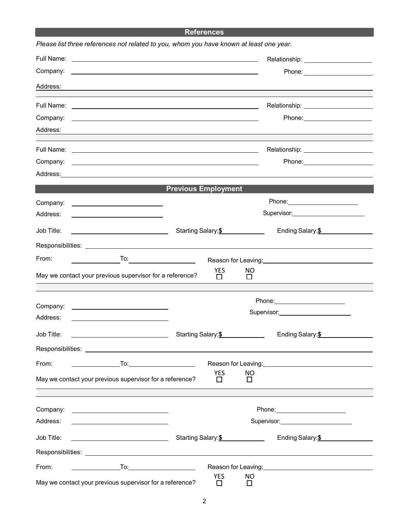## **References**

|            | Please list three references not related to you, whom you have known at least one year.                                                                                                                                              |                            |                  |                     |                                                                                                                                                                                                                                |  |
|------------|--------------------------------------------------------------------------------------------------------------------------------------------------------------------------------------------------------------------------------------|----------------------------|------------------|---------------------|--------------------------------------------------------------------------------------------------------------------------------------------------------------------------------------------------------------------------------|--|
|            | Full Name: <u>example and the set of the set of the set of the set of the set of the set of the set of the set of the set of the set of the set of the set of the set of the set of the set of the set of the set of the set of </u> |                            |                  |                     |                                                                                                                                                                                                                                |  |
| Company:   | <u> 1989 - John Harry Harry Harry Harry Harry Harry Harry Harry Harry Harry Harry Harry Harry Harry Harry Harry H</u>                                                                                                                |                            |                  |                     |                                                                                                                                                                                                                                |  |
| Address:   |                                                                                                                                                                                                                                      |                            |                  |                     | ,我们也不会有什么。""我们的人,我们也不会有什么?""我们的人,我们也不会有什么?""我们的人,我们也不会有什么?""我们的人,我们也不会有什么?""我们的人                                                                                                                                               |  |
|            |                                                                                                                                                                                                                                      |                            |                  |                     |                                                                                                                                                                                                                                |  |
| Company:   | <u> 1999 - Johann John Stone, meilich aus der Stone (der Stone Stone Stone Stone Stone Stone Stone Stone Stone S</u>                                                                                                                 |                            |                  |                     |                                                                                                                                                                                                                                |  |
| Address:   | and the control of the control of the control of the control of the control of the control of the control of the                                                                                                                     |                            |                  |                     |                                                                                                                                                                                                                                |  |
|            |                                                                                                                                                                                                                                      |                            |                  |                     |                                                                                                                                                                                                                                |  |
| Company:   | <u> 1990 - Johann Stoff, amerikansk politiker (d. 1980)</u>                                                                                                                                                                          |                            |                  |                     |                                                                                                                                                                                                                                |  |
|            | Address: Address:                                                                                                                                                                                                                    |                            |                  |                     |                                                                                                                                                                                                                                |  |
|            |                                                                                                                                                                                                                                      | <b>Previous Employment</b> |                  |                     |                                                                                                                                                                                                                                |  |
| Company:   | <u> 2000 - Jan James Barnett, fransk politik (d. 1878)</u>                                                                                                                                                                           |                            |                  |                     | Phone: ________________________                                                                                                                                                                                                |  |
| Address:   |                                                                                                                                                                                                                                      |                            |                  |                     | Supervisor: <b>Example 2019</b>                                                                                                                                                                                                |  |
| Job Title: |                                                                                                                                                                                                                                      |                            |                  | Starting Salary: \$ | Ending Salary: \$                                                                                                                                                                                                              |  |
|            | Responsibilities: www.astronomia.com/www.astronomia.com/www.astronomia.com/www.astronomia.com/www.astronomia.c                                                                                                                       |                            |                  |                     |                                                                                                                                                                                                                                |  |
| From:      | To: $\qquad \qquad \qquad$                                                                                                                                                                                                           |                            |                  |                     | Reason for Leaving:<br><u>Example 2008</u>                                                                                                                                                                                     |  |
|            | May we contact your previous supervisor for a reference?                                                                                                                                                                             |                            | YES<br>$\Box$    | NO<br>$\Box$        |                                                                                                                                                                                                                                |  |
|            |                                                                                                                                                                                                                                      |                            |                  |                     |                                                                                                                                                                                                                                |  |
| Company:   |                                                                                                                                                                                                                                      |                            |                  |                     | Phone: _________________________<br>Supervisor: Victor Contract Contract Contract Contract Contract Contract Contract Contract Contract Contract Co                                                                            |  |
| Address:   | <u>and the state of the state of the state of the state of the state of the state of the state of the state of the state of the state of the state of the state of the state of the state of the state of the state of the state</u> |                            |                  |                     |                                                                                                                                                                                                                                |  |
| Job Title: |                                                                                                                                                                                                                                      | Starting Salary: \$        |                  |                     | Ending Salary: \$                                                                                                                                                                                                              |  |
|            |                                                                                                                                                                                                                                      |                            |                  |                     |                                                                                                                                                                                                                                |  |
| From:      | $\overline{\phantom{a}}$ . To: $\overline{\phantom{a}}$ . To: $\overline{\phantom{a}}$                                                                                                                                               |                            |                  |                     | Reason for Leaving: No. 1996. The Season for Leaving: No. 1997.                                                                                                                                                                |  |
|            | May we contact your previous supervisor for a reference?                                                                                                                                                                             |                            | <b>YES</b><br>□  | NO<br>□             |                                                                                                                                                                                                                                |  |
|            |                                                                                                                                                                                                                                      |                            |                  |                     |                                                                                                                                                                                                                                |  |
|            |                                                                                                                                                                                                                                      |                            |                  |                     |                                                                                                                                                                                                                                |  |
| Address:   | <u> 1989 - Johann Barbara, martin amerikan basar dan basa dan basa dan basa dalam basa dalam basa dalam basa dala</u>                                                                                                                |                            |                  |                     | Supervisor: View Management Communication of the Communication of the Communication of the Communication of the Communication of the Communication of the Communication of the Communication of the Communication of the Commu |  |
| Job Title: |                                                                                                                                                                                                                                      |                            |                  |                     | Ending Salary: \$                                                                                                                                                                                                              |  |
|            |                                                                                                                                                                                                                                      |                            |                  |                     |                                                                                                                                                                                                                                |  |
| From:      |                                                                                                                                                                                                                                      |                            |                  |                     | Reason for Leaving: No. 1996. The Season for Leaving:                                                                                                                                                                          |  |
|            | May we contact your previous supervisor for a reference?                                                                                                                                                                             |                            | <b>YES</b><br>D. | NO.<br>$\Box$       |                                                                                                                                                                                                                                |  |